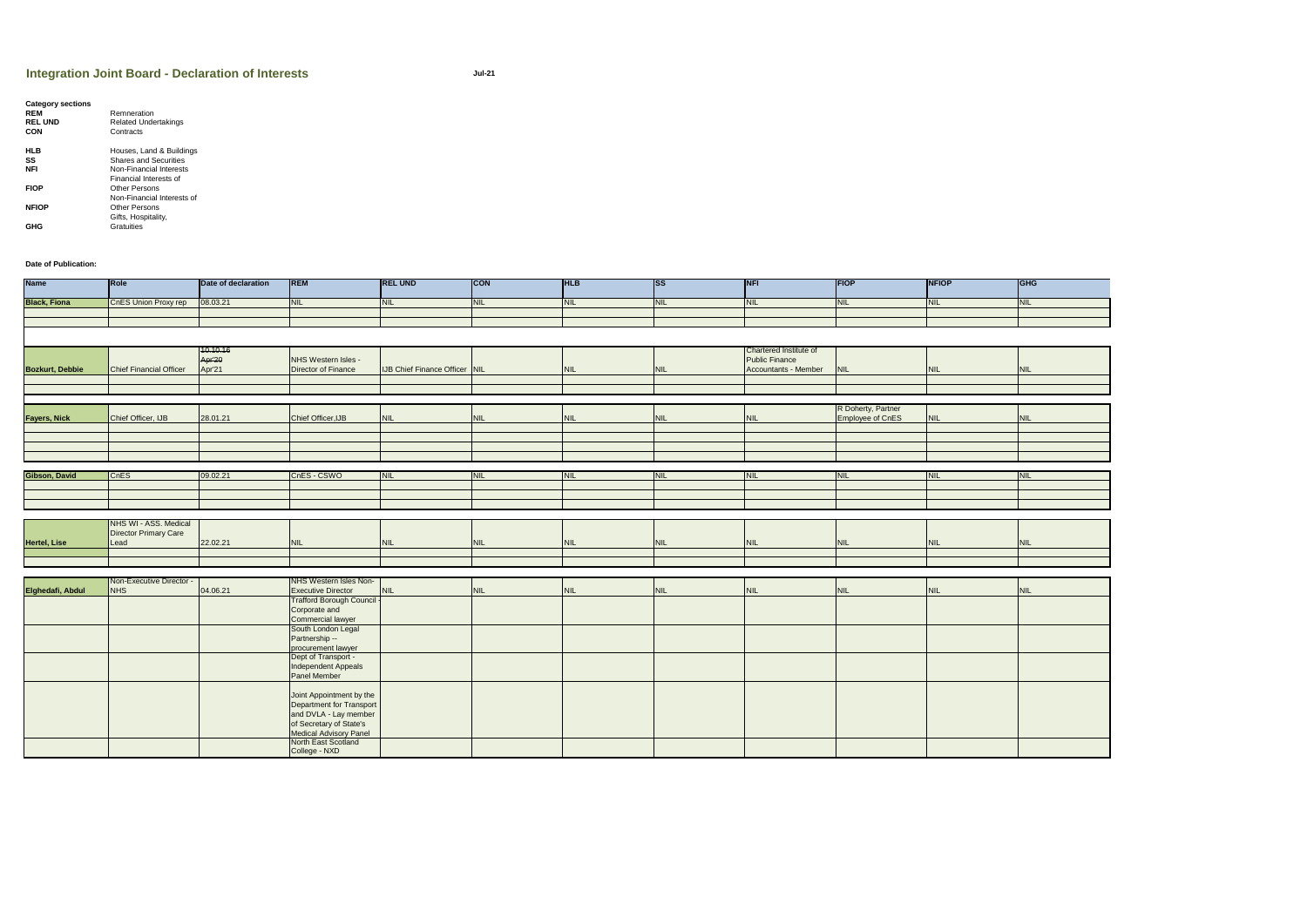| <b>GHG</b> |
|------------|
| <b>NIL</b> |
|            |
|            |
|            |
|            |
| <b>NIL</b> |
|            |
|            |
|            |
| <b>NIL</b> |
|            |
|            |
|            |
|            |
| <b>NIL</b> |
|            |
|            |
|            |
|            |
|            |
| <b>NIL</b> |
|            |
|            |
|            |
|            |
| <b>NIL</b> |
|            |
|            |
|            |
|            |
|            |
|            |
|            |
|            |
|            |
|            |
|            |
|            |

| <b>Category sections</b> |                              |
|--------------------------|------------------------------|
| <b>REM</b>               | Remneration                  |
| <b>REL UND</b>           | <b>Related Undertakings</b>  |
| <b>CON</b>               | Contracts                    |
| HLB                      | Houses, Land & Buildings     |
| SS                       | <b>Shares and Securities</b> |
| <b>NFI</b>               | Non-Financial Interests      |
|                          | Financial Interests of       |
| <b>FIOP</b>              | Other Persons                |
|                          | Non-Financial Interests of   |
| <b>NFIOP</b>             | <b>Other Persons</b>         |
|                          | Gifts, Hospitality,          |
| GHG                      | Gratuities                   |

**Date of Publication:**

| <b>Name</b>            | Role                           | Date of declaration | <b>REM</b>                 | <b>REL UND</b>                       | <b>CON</b> | <b>HLB</b> | <b>ISS</b> | <b>NFI</b>             | <b>FIOP</b>        | <b>NFIOP</b> | <b>CHC</b> |
|------------------------|--------------------------------|---------------------|----------------------------|--------------------------------------|------------|------------|------------|------------------------|--------------------|--------------|------------|
| <b>Black, Fiona</b>    | CnES Union Proxy rep           | 08.03.21            | <b>NIL</b>                 | <b>NIL</b>                           | <b>NIL</b> | <b>NIL</b> | <b>NIL</b> | <b>NIL</b>             | <b>NIL</b>         | <b>NIL</b>   | <b>NIL</b> |
|                        |                                |                     |                            |                                      |            |            |            |                        |                    |              |            |
|                        |                                |                     |                            |                                      |            |            |            |                        |                    |              |            |
|                        |                                |                     |                            |                                      |            |            |            |                        |                    |              |            |
|                        |                                | 10.10.16            |                            |                                      |            |            |            | Chartered Institute of |                    |              |            |
|                        |                                | Apr'20              | NHS Western Isles -        |                                      |            |            |            | <b>Public Finance</b>  |                    |              |            |
| <b>Bozkurt, Debbie</b> | <b>Chief Financial Officer</b> | Apr'21              | Director of Finance        | <b>IJB Chief Finance Officer NIL</b> |            | <b>NIL</b> | <b>NIL</b> | Accountants - Member   | <b>NIL</b>         | <b>NIL</b>   | <b>NIL</b> |
|                        |                                |                     |                            |                                      |            |            |            |                        |                    |              |            |
|                        |                                |                     |                            |                                      |            |            |            |                        |                    |              |            |
|                        |                                |                     |                            |                                      |            |            |            |                        |                    |              |            |
|                        |                                |                     |                            |                                      |            |            |            |                        | R Doherty, Partner |              |            |
| <b>Fayers, Nick</b>    | Chief Officer, IJB             | 28.01.21            | Chief Officer, IJB         | <b>NIL</b>                           | <b>NIL</b> | <b>NIL</b> | <b>NIL</b> | <b>NIL</b>             | Employee of CnES   | <b>NIL</b>   | NIL        |
|                        |                                |                     |                            |                                      |            |            |            |                        |                    |              |            |
|                        |                                |                     |                            |                                      |            |            |            |                        |                    |              |            |
|                        |                                |                     |                            |                                      |            |            |            |                        |                    |              |            |
|                        |                                |                     |                            |                                      |            |            |            |                        |                    |              |            |
|                        |                                |                     |                            |                                      |            |            |            |                        |                    |              |            |
| Gibson, David          | <b>CnES</b>                    | 09.02.21            | CnES - CSWO                | <b>NIL</b>                           | <b>NIL</b> | <b>NIL</b> | <b>NIL</b> | <b>INIL</b>            | <b>NIL</b>         | <b>INIL</b>  | <b>NIL</b> |
|                        |                                |                     |                            |                                      |            |            |            |                        |                    |              |            |
|                        |                                |                     |                            |                                      |            |            |            |                        |                    |              |            |
|                        |                                |                     |                            |                                      |            |            |            |                        |                    |              |            |
|                        |                                |                     |                            |                                      |            |            |            |                        |                    |              |            |
|                        | NHS WI - ASS. Medical          |                     |                            |                                      |            |            |            |                        |                    |              |            |
|                        | Director Primary Care          |                     |                            |                                      |            |            |            |                        |                    |              |            |
| <b>Hertel, Lise</b>    | Lead                           | 22.02.21            | <b>NIL</b>                 | <b>NIL</b>                           | <b>NIL</b> | <b>NIL</b> | <b>NIL</b> | <b>NIL</b>             | <b>NIL</b>         | NIL          | <b>NIL</b> |
|                        |                                |                     |                            |                                      |            |            |            |                        |                    |              |            |
|                        |                                |                     |                            |                                      |            |            |            |                        |                    |              |            |
|                        |                                |                     |                            |                                      |            |            |            |                        |                    |              |            |
|                        | Non-Executive Director -       |                     | NHS Western Isles Non-     |                                      |            |            |            |                        |                    |              |            |
| Elghedafi, Abdul       | NH <sub>S</sub>                | 04.06.21            | <b>Executive Director</b>  | <b>NIL</b>                           | <b>NIL</b> | <b>NIL</b> | <b>NIL</b> | <b>NIL</b>             | <b>NIL</b>         | <b>NIL</b>   | <b>NIL</b> |
|                        |                                |                     | Trafford Borough Council - |                                      |            |            |            |                        |                    |              |            |
|                        |                                |                     | Corporate and              |                                      |            |            |            |                        |                    |              |            |
|                        |                                |                     | Commercial lawyer          |                                      |            |            |            |                        |                    |              |            |
|                        |                                |                     | South London Legal         |                                      |            |            |            |                        |                    |              |            |
|                        |                                |                     | Partnership --             |                                      |            |            |            |                        |                    |              |            |
|                        |                                |                     | procurement lawyer         |                                      |            |            |            |                        |                    |              |            |
|                        |                                |                     | Dept of Transport -        |                                      |            |            |            |                        |                    |              |            |
|                        |                                |                     | Independent Appeals        |                                      |            |            |            |                        |                    |              |            |
|                        |                                |                     | Panel Member               |                                      |            |            |            |                        |                    |              |            |
|                        |                                |                     |                            |                                      |            |            |            |                        |                    |              |            |
|                        |                                |                     | Joint Appointment by the   |                                      |            |            |            |                        |                    |              |            |
|                        |                                |                     | Department for Transport   |                                      |            |            |            |                        |                    |              |            |
|                        |                                |                     | and DVLA - Lay member      |                                      |            |            |            |                        |                    |              |            |
|                        |                                |                     | of Secretary of State's    |                                      |            |            |            |                        |                    |              |            |
|                        |                                |                     | Medical Advisory Panel     |                                      |            |            |            |                        |                    |              |            |
|                        |                                |                     | North East Scotland        |                                      |            |            |            |                        |                    |              |            |
|                        |                                |                     | College - NXD              |                                      |            |            |            |                        |                    |              |            |
|                        |                                |                     |                            |                                      |            |            |            |                        |                    |              |            |

## **Integration Joint Board - Declaration of Interests**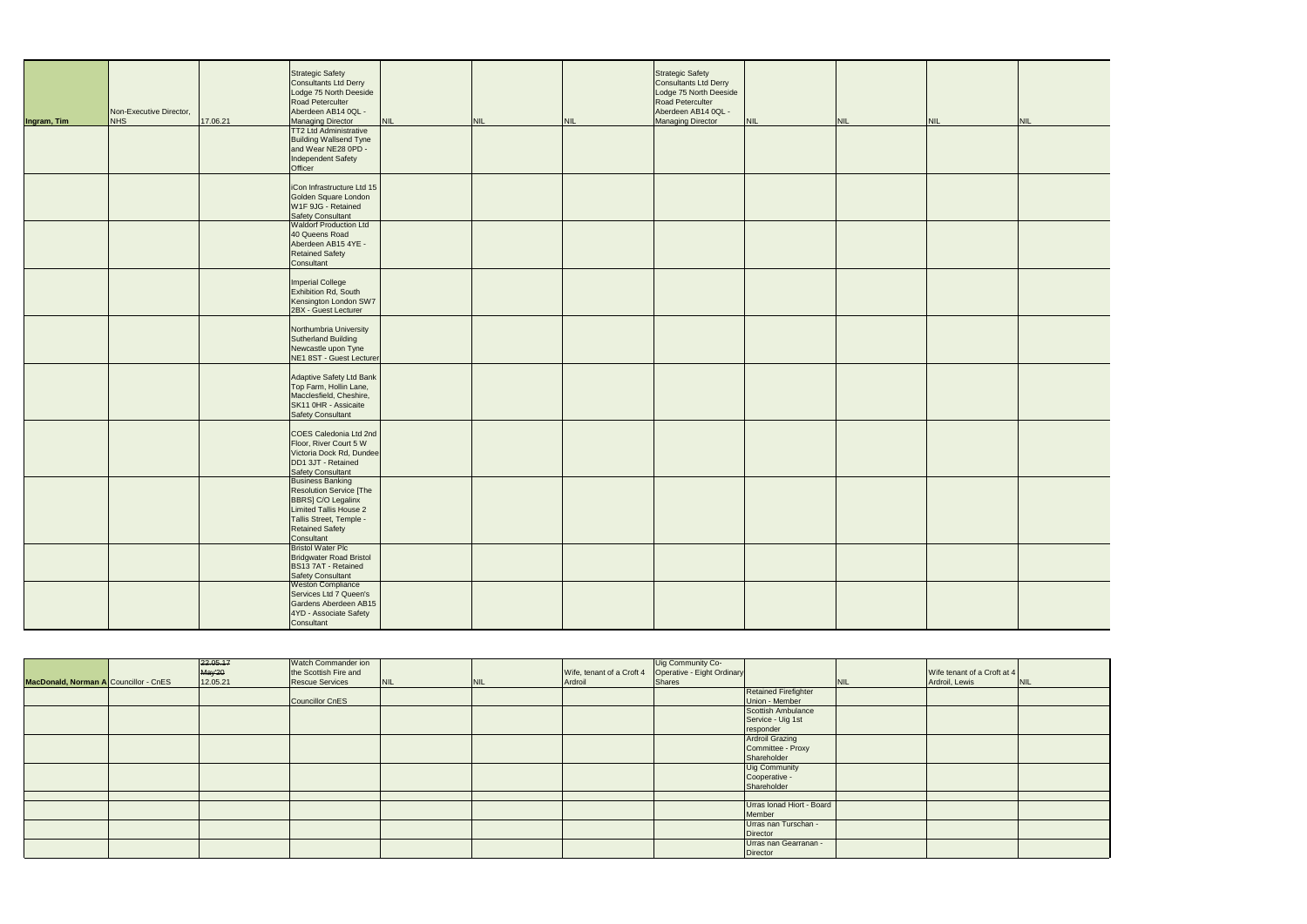| Ingram, Tim | Non-Executive Director,<br>NHS | 17.06.21 | <b>Strategic Safety</b><br><b>Consultants Ltd Derry</b><br>Lodge 75 North Deeside<br>Road Peterculter<br>Aberdeen AB14 0QL -<br><b>Managing Director</b><br><b>TT2 Ltd Administrative</b> | <b>NIL</b> | <b>NIL</b> | <b>NIL</b> | <b>Strategic Safety</b><br>Consultants Ltd Derry<br>Lodge 75 North Deeside<br>Road Peterculter<br>Aberdeen AB14 0QL -<br><b>Managing Director</b> | <b>NIL</b> | <b>NIL</b> | <b>NIL</b> | NIL |
|-------------|--------------------------------|----------|-------------------------------------------------------------------------------------------------------------------------------------------------------------------------------------------|------------|------------|------------|---------------------------------------------------------------------------------------------------------------------------------------------------|------------|------------|------------|-----|
|             |                                |          | <b>Building Wallsend Tyne</b><br>and Wear NE28 0PD -<br>Independent Safety<br>Officer                                                                                                     |            |            |            |                                                                                                                                                   |            |            |            |     |
|             |                                |          | iCon Infrastructure Ltd 15<br>Golden Square London<br>W1F 9JG - Retained<br><b>Safety Consultant</b>                                                                                      |            |            |            |                                                                                                                                                   |            |            |            |     |
|             |                                |          | <b>Waldorf Production Ltd</b><br>40 Queens Road<br>Aberdeen AB15 4YE -<br><b>Retained Safety</b><br>Consultant                                                                            |            |            |            |                                                                                                                                                   |            |            |            |     |
|             |                                |          | <b>Imperial College</b><br>Exhibition Rd, South<br>Kensington London SW7<br>2BX - Guest Lecturer                                                                                          |            |            |            |                                                                                                                                                   |            |            |            |     |
|             |                                |          | Northumbria University<br><b>Sutherland Building</b><br>Newcastle upon Tyne<br>NE1 8ST - Guest Lecturer                                                                                   |            |            |            |                                                                                                                                                   |            |            |            |     |
|             |                                |          | Adaptive Safety Ltd Bank<br>Top Farm, Hollin Lane,<br>Macclesfield, Cheshire,<br>SK11 0HR - Assicaite<br><b>Safety Consultant</b>                                                         |            |            |            |                                                                                                                                                   |            |            |            |     |
|             |                                |          | COES Caledonia Ltd 2nd<br>Floor, River Court 5 W<br>Victoria Dock Rd, Dundee<br>DD1 3JT - Retained<br><b>Safety Consultant</b>                                                            |            |            |            |                                                                                                                                                   |            |            |            |     |
|             |                                |          | <b>Business Banking</b><br><b>Resolution Service [The</b><br>BBRS] C/O Legalinx<br><b>Limited Tallis House 2</b><br>Tallis Street, Temple -<br><b>Retained Safety</b><br>Consultant       |            |            |            |                                                                                                                                                   |            |            |            |     |
|             |                                |          | <b>Bristol Water Plc</b><br><b>Bridgwater Road Bristol</b><br>BS13 7AT - Retained<br><b>Safety Consultant</b>                                                                             |            |            |            |                                                                                                                                                   |            |            |            |     |
|             |                                |          | <b>Weston Compliance</b><br>Services Ltd 7 Queen's<br>Gardens Aberdeen AB15<br>4YD - Associate Safety<br>Consultant                                                                       |            |            |            |                                                                                                                                                   |            |            |            |     |

|                                       | 22.05.17           | Watch Commander ion<br>the Scottish Fire and |            |            | Wife, tenant of a Croft 4 | Uig Community Co-<br>Operative - Eight Ordinary |                             |            | Wife tenant of a Croft at 4 |            |
|---------------------------------------|--------------------|----------------------------------------------|------------|------------|---------------------------|-------------------------------------------------|-----------------------------|------------|-----------------------------|------------|
| MacDonald, Norman A Councillor - CnES | May'20<br>12.05.21 | <b>Rescue Services</b>                       |            |            |                           |                                                 |                             |            | Ardroil, Lewis              |            |
|                                       |                    |                                              | <b>NIL</b> | <b>NIL</b> | Ardroil                   | Shares                                          |                             | <b>NIL</b> |                             | <b>NIL</b> |
|                                       |                    |                                              |            |            |                           |                                                 | <b>Retained Firefighter</b> |            |                             |            |
|                                       |                    | Councillor CnES                              |            |            |                           |                                                 | Union - Member              |            |                             |            |
|                                       |                    |                                              |            |            |                           |                                                 | Scottish Ambulance          |            |                             |            |
|                                       |                    |                                              |            |            |                           |                                                 | Service - Uig 1st           |            |                             |            |
|                                       |                    |                                              |            |            |                           |                                                 | responder                   |            |                             |            |
|                                       |                    |                                              |            |            |                           |                                                 | <b>Ardroil Grazing</b>      |            |                             |            |
|                                       |                    |                                              |            |            |                           |                                                 | Committee - Proxy           |            |                             |            |
|                                       |                    |                                              |            |            |                           |                                                 | Shareholder                 |            |                             |            |
|                                       |                    |                                              |            |            |                           |                                                 | Uig Community               |            |                             |            |
|                                       |                    |                                              |            |            |                           |                                                 | Cooperative -               |            |                             |            |
|                                       |                    |                                              |            |            |                           |                                                 | Shareholder                 |            |                             |            |
|                                       |                    |                                              |            |            |                           |                                                 |                             |            |                             |            |
|                                       |                    |                                              |            |            |                           |                                                 | Urras Ionad Hiort - Board   |            |                             |            |
|                                       |                    |                                              |            |            |                           |                                                 | Member                      |            |                             |            |
|                                       |                    |                                              |            |            |                           |                                                 | Urras nan Turschan -        |            |                             |            |
|                                       |                    |                                              |            |            |                           |                                                 | Director                    |            |                             |            |
|                                       |                    |                                              |            |            |                           |                                                 | Urras nan Gearranan -       |            |                             |            |
|                                       |                    |                                              |            |            |                           |                                                 | Director                    |            |                             |            |

| <b>NIL</b> | <b>NIL</b> |  |
|------------|------------|--|
|            |            |  |
|            |            |  |
|            |            |  |
|            |            |  |
|            |            |  |
|            |            |  |
|            |            |  |
|            |            |  |
|            |            |  |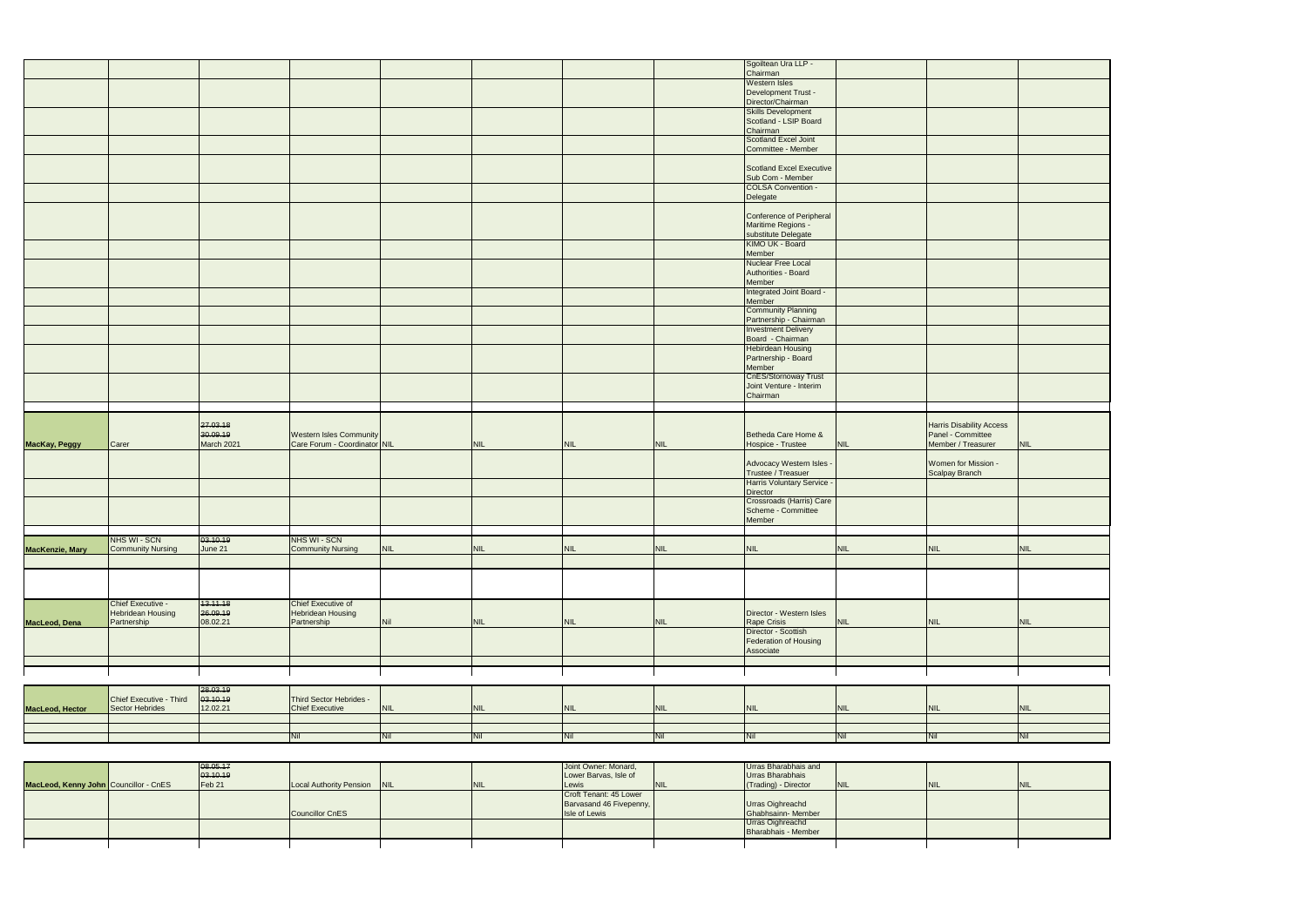| MacLeod, Dena<br>MacLeod, Hector | Chief Executive -<br>Hebridean Housing<br>Partnership<br>Chief Executive - Third<br>Sector Hebrides | 13.11.18<br>26.09.19<br>08.02.21<br>28.03.19<br>03.10.19<br>12.02.21 | Chief Executive of<br><b>Hebridean Housing</b><br>Partnership<br>Third Sector Hebrides -<br><b>Chief Executive</b><br>Nil | <b>Nil</b><br><b>NIL</b><br>Nil | <b>NIL</b><br><b>NIL</b><br>Nil | <b>NIL</b><br><b>NIL</b><br>Nil | <b>NIL</b><br><b>NIL</b><br>Nil | Director - Western Isles<br>Rape Crisis<br>Director - Scottish<br>Federation of Housing<br>Associate<br><b>NIL</b><br>Nil | <b>NIL</b><br><b>NIL</b><br>Nil | <b>NIL</b><br><b>NIL</b><br><b>Nil</b>  | <b>NIL</b><br><b>NIL</b><br>Nil |
|----------------------------------|-----------------------------------------------------------------------------------------------------|----------------------------------------------------------------------|---------------------------------------------------------------------------------------------------------------------------|---------------------------------|---------------------------------|---------------------------------|---------------------------------|---------------------------------------------------------------------------------------------------------------------------|---------------------------------|-----------------------------------------|---------------------------------|
|                                  |                                                                                                     |                                                                      |                                                                                                                           |                                 |                                 |                                 |                                 |                                                                                                                           |                                 |                                         |                                 |
|                                  |                                                                                                     |                                                                      |                                                                                                                           |                                 |                                 |                                 |                                 |                                                                                                                           |                                 |                                         |                                 |
|                                  |                                                                                                     |                                                                      |                                                                                                                           |                                 |                                 |                                 |                                 |                                                                                                                           |                                 |                                         |                                 |
|                                  |                                                                                                     |                                                                      |                                                                                                                           |                                 |                                 |                                 |                                 |                                                                                                                           |                                 |                                         |                                 |
|                                  |                                                                                                     |                                                                      |                                                                                                                           |                                 |                                 |                                 |                                 |                                                                                                                           |                                 |                                         |                                 |
|                                  |                                                                                                     |                                                                      |                                                                                                                           |                                 |                                 |                                 |                                 |                                                                                                                           |                                 |                                         |                                 |
|                                  |                                                                                                     |                                                                      |                                                                                                                           |                                 |                                 |                                 |                                 |                                                                                                                           |                                 |                                         |                                 |
|                                  |                                                                                                     |                                                                      |                                                                                                                           |                                 |                                 |                                 |                                 |                                                                                                                           |                                 |                                         |                                 |
|                                  |                                                                                                     |                                                                      |                                                                                                                           |                                 |                                 |                                 |                                 |                                                                                                                           |                                 |                                         |                                 |
| MacKenzie, Mary                  | Community Nursing                                                                                   | June 21                                                              | <b>Community Nursing</b>                                                                                                  | <b>NIL</b>                      | <b>NIL</b>                      | <b>NIL</b>                      | <b>NIL</b>                      | NIL                                                                                                                       | <b>NIL</b>                      | <b>NIL</b>                              | NIL                             |
|                                  | NHS WI - SCN                                                                                        | 03.10.19                                                             | NHS WI - SCN                                                                                                              |                                 |                                 |                                 |                                 |                                                                                                                           |                                 |                                         |                                 |
|                                  |                                                                                                     |                                                                      |                                                                                                                           |                                 |                                 |                                 |                                 | Scheme - Committee<br>Member                                                                                              |                                 |                                         |                                 |
|                                  |                                                                                                     |                                                                      |                                                                                                                           |                                 |                                 |                                 |                                 | Director<br>Crossroads (Harris) Care                                                                                      |                                 |                                         |                                 |
|                                  |                                                                                                     |                                                                      |                                                                                                                           |                                 |                                 |                                 |                                 | Trustee / Treasuer<br>Harris Voluntary Service -                                                                          |                                 | Scalpay Branch                          |                                 |
|                                  |                                                                                                     |                                                                      |                                                                                                                           |                                 |                                 |                                 |                                 | Advocacy Western Isles -                                                                                                  |                                 | Women for Mission -                     |                                 |
| MacKay, Peggy                    | Carer                                                                                               | 30.09.19<br>March 2021                                               | Western Isles Community<br>Care Forum - Coordinator NIL                                                                   |                                 | NIL                             | <b>NIL</b>                      | <b>NIL</b>                      | Betheda Care Home &<br>Hospice - Trustee                                                                                  | <b>NIL</b>                      | Panel - Committee<br>Member / Treasurer | <b>NIL</b>                      |
|                                  |                                                                                                     | 27.03.18                                                             |                                                                                                                           |                                 |                                 |                                 |                                 |                                                                                                                           |                                 | <b>Harris Disability Access</b>         |                                 |
|                                  |                                                                                                     |                                                                      |                                                                                                                           |                                 |                                 |                                 |                                 |                                                                                                                           |                                 |                                         |                                 |
|                                  |                                                                                                     |                                                                      |                                                                                                                           |                                 |                                 |                                 |                                 | Joint Venture - Interim<br>Chairman                                                                                       |                                 |                                         |                                 |
|                                  |                                                                                                     |                                                                      |                                                                                                                           |                                 |                                 |                                 |                                 | Partnership - Board<br>Member<br>CnES/Stornoway Trust                                                                     |                                 |                                         |                                 |
|                                  |                                                                                                     |                                                                      |                                                                                                                           |                                 |                                 |                                 |                                 | <b>Hebirdean Housing</b>                                                                                                  |                                 |                                         |                                 |
|                                  |                                                                                                     |                                                                      |                                                                                                                           |                                 |                                 |                                 |                                 | <b>Investment Delivery</b><br>Board - Chairman                                                                            |                                 |                                         |                                 |
|                                  |                                                                                                     |                                                                      |                                                                                                                           |                                 |                                 |                                 |                                 | Community Planning<br>Partnership - Chairman                                                                              |                                 |                                         |                                 |
|                                  |                                                                                                     |                                                                      |                                                                                                                           |                                 |                                 |                                 |                                 | Integrated Joint Board<br>Member                                                                                          |                                 |                                         |                                 |
|                                  |                                                                                                     |                                                                      |                                                                                                                           |                                 |                                 |                                 |                                 | Authorities - Board<br>Member                                                                                             |                                 |                                         |                                 |
|                                  |                                                                                                     |                                                                      |                                                                                                                           |                                 |                                 |                                 |                                 | Member<br>Nuclear Free Local                                                                                              |                                 |                                         |                                 |
|                                  |                                                                                                     |                                                                      |                                                                                                                           |                                 |                                 |                                 |                                 | Maritime Regions -<br>substitute Delegate<br>KIMO UK - Board                                                              |                                 |                                         |                                 |
|                                  |                                                                                                     |                                                                      |                                                                                                                           |                                 |                                 |                                 |                                 | Conference of Peripheral                                                                                                  |                                 |                                         |                                 |
|                                  |                                                                                                     |                                                                      |                                                                                                                           |                                 |                                 |                                 |                                 | Delegate                                                                                                                  |                                 |                                         |                                 |
|                                  |                                                                                                     |                                                                      |                                                                                                                           |                                 |                                 |                                 |                                 | Sub Com - Member<br>COLSA Convention -                                                                                    |                                 |                                         |                                 |
|                                  |                                                                                                     |                                                                      |                                                                                                                           |                                 |                                 |                                 |                                 | Scotland Excel Executive                                                                                                  |                                 |                                         |                                 |
|                                  |                                                                                                     |                                                                      |                                                                                                                           |                                 |                                 |                                 |                                 | Scotland Excel Joint<br>Committee - Member                                                                                |                                 |                                         |                                 |
|                                  |                                                                                                     |                                                                      |                                                                                                                           |                                 |                                 |                                 |                                 | Chairman                                                                                                                  |                                 |                                         |                                 |
|                                  |                                                                                                     |                                                                      |                                                                                                                           |                                 |                                 |                                 |                                 | <b>Skills Development</b><br>Scotland - LSIP Board                                                                        |                                 |                                         |                                 |
|                                  |                                                                                                     |                                                                      |                                                                                                                           |                                 |                                 |                                 |                                 | Development Trust -<br>Director/Chairman                                                                                  |                                 |                                         |                                 |
|                                  |                                                                                                     |                                                                      |                                                                                                                           |                                 |                                 |                                 |                                 | Chairman<br>Western Isles                                                                                                 |                                 |                                         |                                 |
|                                  |                                                                                                     |                                                                      |                                                                                                                           |                                 |                                 |                                 |                                 | Sgoiltean Ura LLP -                                                                                                       |                                 |                                         |                                 |

| MacLeod, Kenny John Councillor - CnES | 08.05.17<br>03.10.19<br>Feb 21 | Local Authority Pension NIL | <b>NIL</b> | Joint Owner: Monard,<br>Lower Barvas, Isle of<br><b>Lewis</b>      | Urras Bharabhais and<br>Urras Bharabhais<br>(Trading) - Director | <b>INIL</b> |  |
|---------------------------------------|--------------------------------|-----------------------------|------------|--------------------------------------------------------------------|------------------------------------------------------------------|-------------|--|
|                                       |                                | Councillor CnES             |            | Croft Tenant: 45 Lower<br>Barvasand 46 Fivepenny,<br>Isle of Lewis | Urras Oighreachd<br>Ghabhsainn-Member                            |             |  |
|                                       |                                |                             |            |                                                                    | Urras Oighreachd<br>Bharabhais - Member                          |             |  |
|                                       |                                |                             |            |                                                                    |                                                                  |             |  |

| <b>NIL</b> |
|------------|
|            |
|            |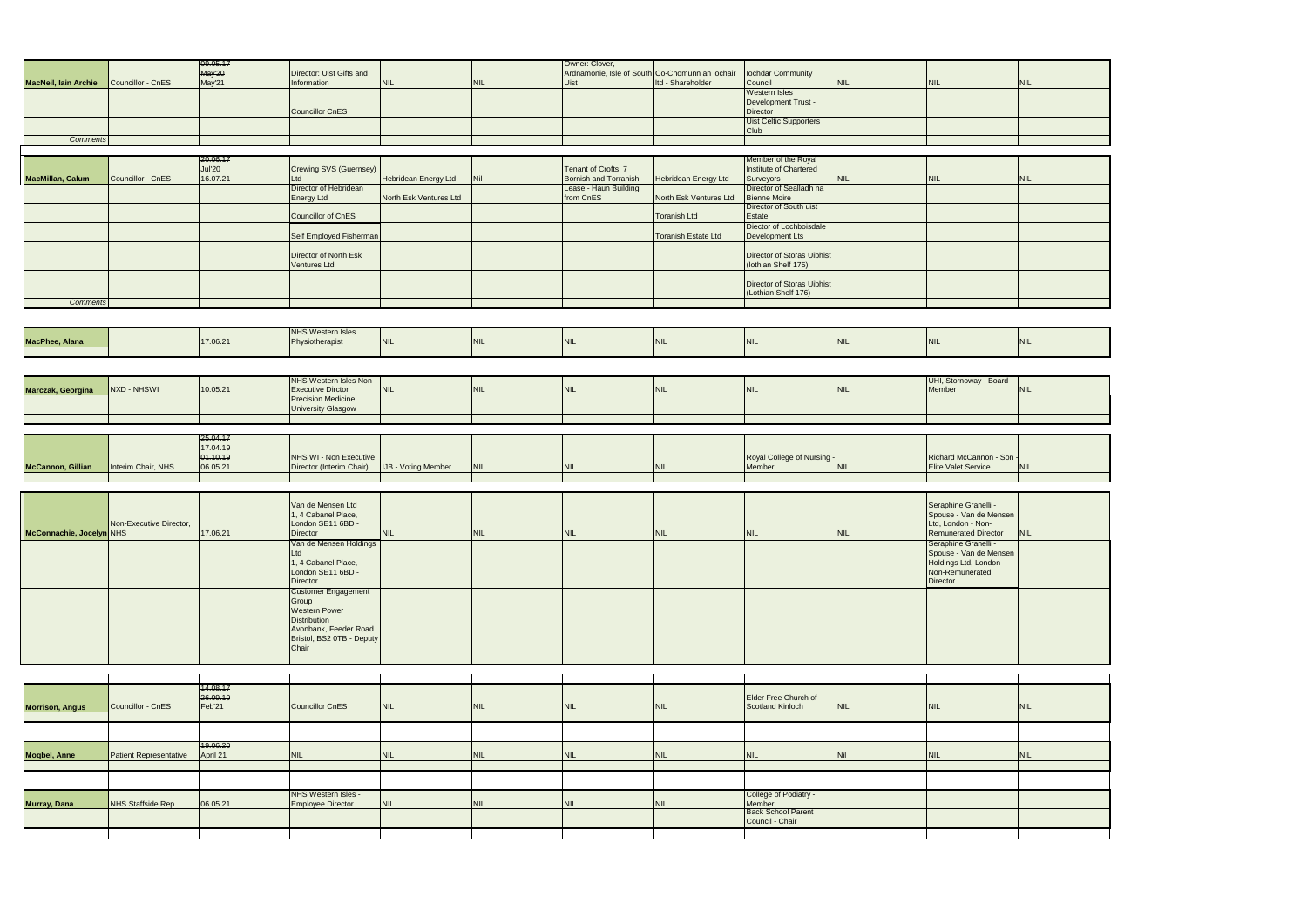|                             |                               | 09.05.17      |                              |                            |            | Owner: Clover,                                  |                            |                                   |            |                             |            |
|-----------------------------|-------------------------------|---------------|------------------------------|----------------------------|------------|-------------------------------------------------|----------------------------|-----------------------------------|------------|-----------------------------|------------|
|                             |                               | May'20        | Director: Uist Gifts and     |                            |            | Ardnamonie, Isle of South Co-Chomunn an lochair |                            | lochdar Community                 |            |                             |            |
| <b>MacNeil, Iain Archie</b> | Councillor - CnES             | May'21        | Information                  | <b>NIL</b>                 | <b>NIL</b> | <b>Uist</b>                                     | Itd - Shareholder          | Council                           | <b>NIL</b> | <b>NIL</b>                  | <b>NIL</b> |
|                             |                               |               |                              |                            |            |                                                 |                            | <b>Western Isles</b>              |            |                             |            |
|                             |                               |               |                              |                            |            |                                                 |                            | Development Trust -               |            |                             |            |
|                             |                               |               |                              |                            |            |                                                 |                            |                                   |            |                             |            |
|                             |                               |               | <b>Councillor CnES</b>       |                            |            |                                                 |                            | Director                          |            |                             |            |
|                             |                               |               |                              |                            |            |                                                 |                            | Uist Celtic Supporters            |            |                             |            |
|                             |                               |               |                              |                            |            |                                                 |                            | Club                              |            |                             |            |
| <b>Comments</b>             |                               |               |                              |                            |            |                                                 |                            |                                   |            |                             |            |
|                             |                               |               |                              |                            |            |                                                 |                            |                                   |            |                             |            |
|                             |                               |               |                              |                            |            |                                                 |                            |                                   |            |                             |            |
|                             |                               | 20.06.17      |                              |                            |            |                                                 |                            | Member of the Royal               |            |                             |            |
|                             |                               | <b>Jul'20</b> | Crewing SVS (Guernsey)       |                            |            | Tenant of Crofts: 7                             |                            | Institute of Chartered            |            |                             |            |
| MacMillan, Calum            | Councillor - CnES             | 16.07.21      | Ltd                          | Hebridean Energy Ltd       | Nil        | Bornish and Torranish                           | Hebridean Energy Ltd       | Surveyors                         | <b>NIL</b> | <b>NIL</b>                  | <b>NIL</b> |
|                             |                               |               |                              |                            |            |                                                 |                            |                                   |            |                             |            |
|                             |                               |               | Director of Hebridean        |                            |            | Lease - Haun Building                           |                            | Director of Sealladh na           |            |                             |            |
|                             |                               |               | <b>Energy Ltd</b>            | North Esk Ventures Ltd     |            | from CnES                                       | North Esk Ventures Ltd     | <b>Bienne Moire</b>               |            |                             |            |
|                             |                               |               |                              |                            |            |                                                 |                            | Director of South uist            |            |                             |            |
|                             |                               |               | Councillor of CnES           |                            |            |                                                 | <b>Toranish Ltd</b>        | Estate                            |            |                             |            |
|                             |                               |               |                              |                            |            |                                                 |                            | Diector of Lochboisdale           |            |                             |            |
|                             |                               |               |                              |                            |            |                                                 |                            |                                   |            |                             |            |
|                             |                               |               | Self Employed Fisherman      |                            |            |                                                 | <b>Toranish Estate Ltd</b> | Development Lts                   |            |                             |            |
|                             |                               |               |                              |                            |            |                                                 |                            |                                   |            |                             |            |
|                             |                               |               | Director of North Esk        |                            |            |                                                 |                            | <b>Director of Storas Uibhist</b> |            |                             |            |
|                             |                               |               | <b>Ventures Ltd</b>          |                            |            |                                                 |                            | (lothian Shelf 175)               |            |                             |            |
|                             |                               |               |                              |                            |            |                                                 |                            |                                   |            |                             |            |
|                             |                               |               |                              |                            |            |                                                 |                            |                                   |            |                             |            |
|                             |                               |               |                              |                            |            |                                                 |                            | Director of Storas Uibhist        |            |                             |            |
|                             |                               |               |                              |                            |            |                                                 |                            | (Lothian Shelf 176)               |            |                             |            |
| <b>Comments</b>             |                               |               |                              |                            |            |                                                 |                            |                                   |            |                             |            |
|                             |                               |               |                              |                            |            |                                                 |                            |                                   |            |                             |            |
|                             |                               |               |                              |                            |            |                                                 |                            |                                   |            |                             |            |
|                             |                               |               |                              |                            |            |                                                 |                            |                                   |            |                             |            |
|                             |                               |               | <b>NHS Western Isles</b>     |                            |            |                                                 |                            |                                   |            |                             |            |
| MacPhee, Alana              |                               | 17.06.21      | Physiotherapist              | <b>NIL</b>                 | <b>NIL</b> | <b>NIL</b>                                      | <b>NIL</b>                 | <b>NIL</b>                        | <b>NIL</b> | <b>NIL</b>                  | <b>NIL</b> |
|                             |                               |               |                              |                            |            |                                                 |                            |                                   |            |                             |            |
|                             |                               |               |                              |                            |            |                                                 |                            |                                   |            |                             |            |
|                             |                               |               |                              |                            |            |                                                 |                            |                                   |            |                             |            |
|                             |                               |               |                              |                            |            |                                                 |                            |                                   |            |                             |            |
|                             |                               |               | <b>NHS Western Isles Non</b> |                            |            |                                                 |                            |                                   |            | UHI, Stornoway - Board      |            |
| Marczak, Georgina           | NXD - NHSWI                   | 10.05.21      | <b>Executive Dirctor</b>     | <b>NIL</b>                 | <b>NIL</b> | <b>NIL</b>                                      | <b>NIL</b>                 | <b>NIL</b>                        | <b>NIL</b> | Member                      | <b>NIL</b> |
|                             |                               |               |                              |                            |            |                                                 |                            |                                   |            |                             |            |
|                             |                               |               | Precision Medicine,          |                            |            |                                                 |                            |                                   |            |                             |            |
|                             |                               |               | <b>University Glasgow</b>    |                            |            |                                                 |                            |                                   |            |                             |            |
|                             |                               |               |                              |                            |            |                                                 |                            |                                   |            |                             |            |
|                             |                               |               |                              |                            |            |                                                 |                            |                                   |            |                             |            |
|                             |                               |               |                              |                            |            |                                                 |                            |                                   |            |                             |            |
|                             |                               |               |                              |                            |            |                                                 |                            |                                   |            |                             |            |
|                             |                               | 25.04.17      |                              |                            |            |                                                 |                            |                                   |            |                             |            |
|                             |                               | 17.04.19      |                              |                            |            |                                                 |                            |                                   |            |                             |            |
|                             |                               |               |                              |                            |            |                                                 |                            |                                   |            |                             |            |
|                             |                               | 01.10.19      | NHS WI - Non Executive       |                            |            |                                                 |                            | Royal College of Nursing -        |            | Richard McCannon - Son      |            |
| <b>McCannon, Gillian</b>    | Interim Chair, NHS            | 06.05.21      | Director (Interim Chair)     | <b>IJB - Voting Member</b> | <b>NIL</b> | <b>NIL</b>                                      | <b>NIL</b>                 | Member                            | <b>NIL</b> | <b>Elite Valet Service</b>  | <b>NIL</b> |
|                             |                               |               |                              |                            |            |                                                 |                            |                                   |            |                             |            |
|                             |                               |               |                              |                            |            |                                                 |                            |                                   |            |                             |            |
|                             |                               |               |                              |                            |            |                                                 |                            |                                   |            |                             |            |
|                             |                               |               |                              |                            |            |                                                 |                            |                                   |            |                             |            |
|                             |                               |               | Van de Mensen Ltd            |                            |            |                                                 |                            |                                   |            | Seraphine Granelli -        |            |
|                             |                               |               | 1, 4 Cabanel Place,          |                            |            |                                                 |                            |                                   |            | Spouse - Van de Mensen      |            |
|                             | Non-Executive Director,       |               | London SE11 6BD -            |                            |            |                                                 |                            |                                   |            | Ltd, London - Non-          |            |
|                             |                               | 17.06.21      | <b>Director</b>              | <b>NIL</b>                 | <b>NIL</b> | <b>NIL</b>                                      | <b>NIL</b>                 | <b>NIL</b>                        | <b>NIL</b> | <b>Remunerated Director</b> | <b>NIL</b> |
|                             |                               |               |                              |                            |            |                                                 |                            |                                   |            |                             |            |
|                             |                               |               | Van de Mensen Holdings       |                            |            |                                                 |                            |                                   |            | Seraphine Granelli -        |            |
|                             |                               |               | Ltd                          |                            |            |                                                 |                            |                                   |            | Spouse - Van de Mensen      |            |
| McConnachie, Jocelyn NHS    |                               |               | 1, 4 Cabanel Place,          |                            |            |                                                 |                            |                                   |            | Holdings Ltd, London -      |            |
|                             |                               |               | London SE11 6BD -            |                            |            |                                                 |                            |                                   |            | Non-Remunerated             |            |
|                             |                               |               | Director                     |                            |            |                                                 |                            |                                   |            | Director                    |            |
|                             |                               |               |                              |                            |            |                                                 |                            |                                   |            |                             |            |
|                             |                               |               | <b>Customer Engagement</b>   |                            |            |                                                 |                            |                                   |            |                             |            |
|                             |                               |               | Group                        |                            |            |                                                 |                            |                                   |            |                             |            |
|                             |                               |               | Western Power                |                            |            |                                                 |                            |                                   |            |                             |            |
|                             |                               |               | Distribution                 |                            |            |                                                 |                            |                                   |            |                             |            |
|                             |                               |               | Avonbank, Feeder Road        |                            |            |                                                 |                            |                                   |            |                             |            |
|                             |                               |               |                              |                            |            |                                                 |                            |                                   |            |                             |            |
|                             |                               |               | Bristol, BS2 0TB - Deputy    |                            |            |                                                 |                            |                                   |            |                             |            |
|                             |                               |               | Chair                        |                            |            |                                                 |                            |                                   |            |                             |            |
|                             |                               |               |                              |                            |            |                                                 |                            |                                   |            |                             |            |
|                             |                               |               |                              |                            |            |                                                 |                            |                                   |            |                             |            |
|                             |                               |               |                              |                            |            |                                                 |                            |                                   |            |                             |            |
|                             |                               |               |                              |                            |            |                                                 |                            |                                   |            |                             |            |
|                             |                               | 14.08.17      |                              |                            |            |                                                 |                            |                                   |            |                             |            |
|                             |                               | 26.09.19      |                              |                            |            |                                                 |                            | <b>Elder Free Church of</b>       |            |                             |            |
| <b>Morrison, Angus</b>      | Councillor - CnES             | Feb'21        | <b>Councillor CnES</b>       | <b>NIL</b>                 | <b>NIL</b> | <b>NIL</b>                                      | <b>NIL</b>                 | Scotland Kinloch                  | <b>NIL</b> | <b>NIL</b>                  | <b>NIL</b> |
|                             |                               |               |                              |                            |            |                                                 |                            |                                   |            |                             |            |
|                             |                               |               |                              |                            |            |                                                 |                            |                                   |            |                             |            |
|                             |                               |               |                              |                            |            |                                                 |                            |                                   |            |                             |            |
|                             |                               |               |                              |                            |            |                                                 |                            |                                   |            |                             |            |
|                             |                               | 19.06.20      |                              |                            |            |                                                 |                            |                                   |            |                             |            |
|                             |                               |               |                              |                            |            |                                                 |                            |                                   |            |                             | <b>NIL</b> |
| <b>Mogbel, Anne</b>         | <b>Patient Representative</b> | April 21      | <b>NIL</b>                   | <b>NIL</b>                 | <b>NIL</b> | <b>NIL</b>                                      | <b>NIL</b>                 | <b>NIL</b>                        | Nil        | <b>NIL</b>                  |            |
|                             |                               |               |                              |                            |            |                                                 |                            |                                   |            |                             |            |
|                             |                               |               |                              |                            |            |                                                 |                            |                                   |            |                             |            |
|                             |                               |               |                              |                            |            |                                                 |                            |                                   |            |                             |            |
|                             |                               |               |                              |                            |            |                                                 |                            |                                   |            |                             |            |
|                             |                               |               | NHS Western Isles -          |                            |            |                                                 |                            | College of Podiatry -             |            |                             |            |
| Murray, Dana                | <b>NHS Staffside Rep</b>      | 06.05.21      | <b>Employee Director</b>     | <b>NIL</b>                 | <b>NIL</b> | <b>NIL</b>                                      | <b>NIL</b>                 | Member                            |            |                             |            |
|                             |                               |               |                              |                            |            |                                                 |                            | <b>Back School Parent</b>         |            |                             |            |
|                             |                               |               |                              |                            |            |                                                 |                            | Council - Chair                   |            |                             |            |
|                             |                               |               |                              |                            |            |                                                 |                            |                                   |            |                             |            |